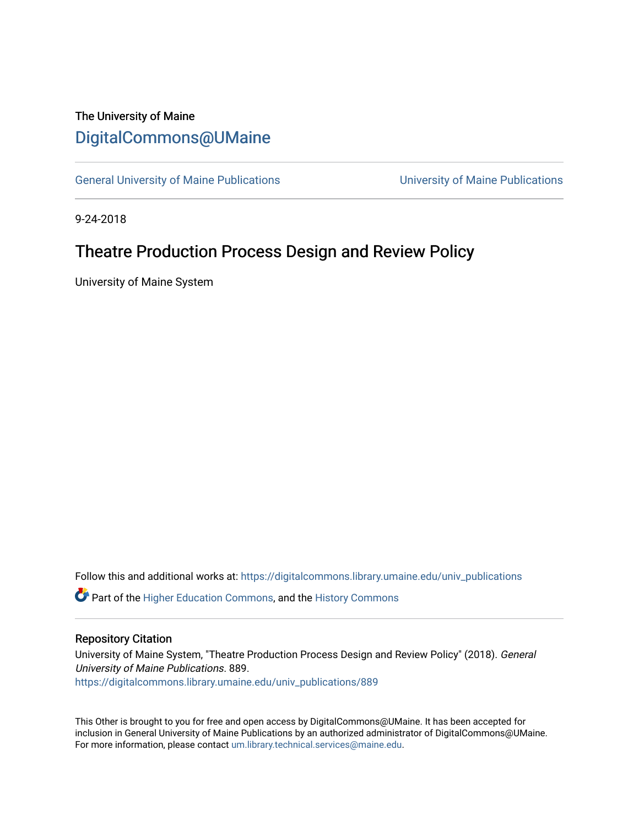# The University of Maine [DigitalCommons@UMaine](https://digitalcommons.library.umaine.edu/)

[General University of Maine Publications](https://digitalcommons.library.umaine.edu/univ_publications) [University of Maine Publications](https://digitalcommons.library.umaine.edu/umaine_publications) 

9-24-2018

## Theatre Production Process Design and Review Policy

University of Maine System

Follow this and additional works at: [https://digitalcommons.library.umaine.edu/univ\\_publications](https://digitalcommons.library.umaine.edu/univ_publications?utm_source=digitalcommons.library.umaine.edu%2Funiv_publications%2F889&utm_medium=PDF&utm_campaign=PDFCoverPages) 

**C** Part of the [Higher Education Commons,](http://network.bepress.com/hgg/discipline/1245?utm_source=digitalcommons.library.umaine.edu%2Funiv_publications%2F889&utm_medium=PDF&utm_campaign=PDFCoverPages) and the [History Commons](http://network.bepress.com/hgg/discipline/489?utm_source=digitalcommons.library.umaine.edu%2Funiv_publications%2F889&utm_medium=PDF&utm_campaign=PDFCoverPages)

#### Repository Citation

University of Maine System, "Theatre Production Process Design and Review Policy" (2018). General University of Maine Publications. 889. [https://digitalcommons.library.umaine.edu/univ\\_publications/889](https://digitalcommons.library.umaine.edu/univ_publications/889?utm_source=digitalcommons.library.umaine.edu%2Funiv_publications%2F889&utm_medium=PDF&utm_campaign=PDFCoverPages) 

This Other is brought to you for free and open access by DigitalCommons@UMaine. It has been accepted for inclusion in General University of Maine Publications by an authorized administrator of DigitalCommons@UMaine. For more information, please contact [um.library.technical.services@maine.edu](mailto:um.library.technical.services@maine.edu).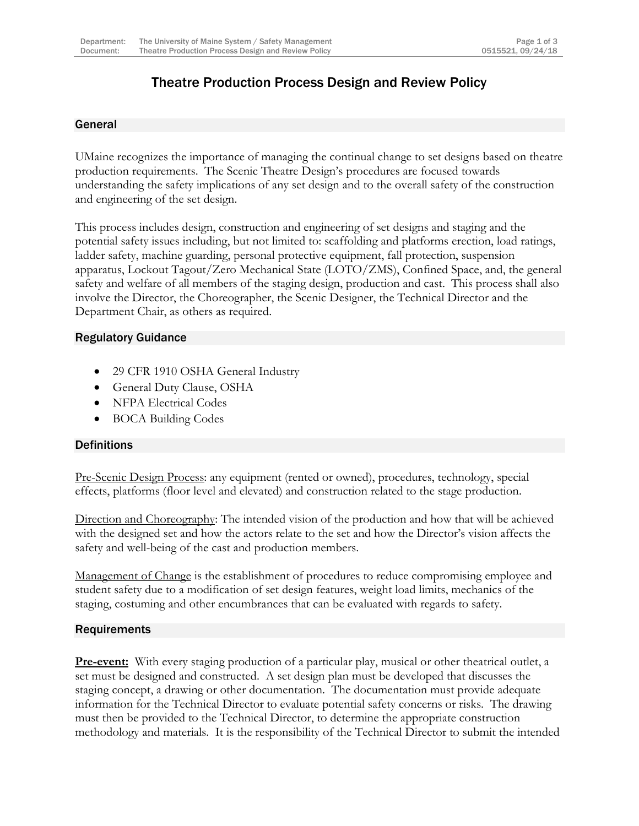## Theatre Production Process Design and Review Policy

#### General

UMaine recognizes the importance of managing the continual change to set designs based on theatre production requirements. The Scenic Theatre Design's procedures are focused towards understanding the safety implications of any set design and to the overall safety of the construction and engineering of the set design.

This process includes design, construction and engineering of set designs and staging and the potential safety issues including, but not limited to: scaffolding and platforms erection, load ratings, ladder safety, machine guarding, personal protective equipment, fall protection, suspension apparatus, Lockout Tagout/Zero Mechanical State (LOTO/ZMS), Confined Space, and, the general safety and welfare of all members of the staging design, production and cast. This process shall also involve the Director, the Choreographer, the Scenic Designer, the Technical Director and the Department Chair, as others as required.

### Regulatory Guidance

- 29 CFR 1910 OSHA General Industry
- General Duty Clause, OSHA
- NFPA Electrical Codes
- BOCA Building Codes

#### **Definitions**

Pre-Scenic Design Process: any equipment (rented or owned), procedures, technology, special effects, platforms (floor level and elevated) and construction related to the stage production.

Direction and Choreography: The intended vision of the production and how that will be achieved with the designed set and how the actors relate to the set and how the Director's vision affects the safety and well-being of the cast and production members.

Management of Change is the establishment of procedures to reduce compromising employee and student safety due to a modification of set design features, weight load limits, mechanics of the staging, costuming and other encumbrances that can be evaluated with regards to safety.

#### **Requirements**

**Pre-event:** With every staging production of a particular play, musical or other theatrical outlet, a set must be designed and constructed. A set design plan must be developed that discusses the staging concept, a drawing or other documentation. The documentation must provide adequate information for the Technical Director to evaluate potential safety concerns or risks. The drawing must then be provided to the Technical Director, to determine the appropriate construction methodology and materials. It is the responsibility of the Technical Director to submit the intended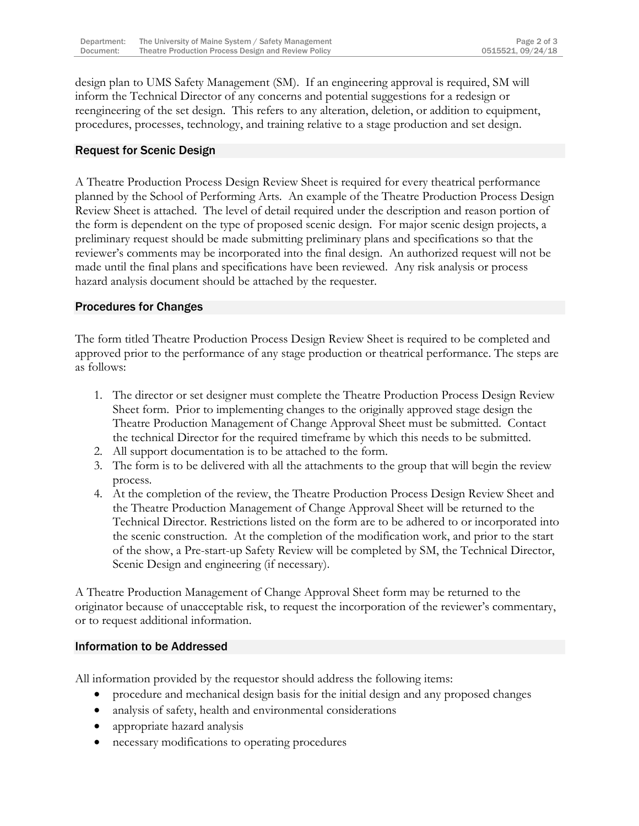design plan to UMS Safety Management (SM). If an engineering approval is required, SM will inform the Technical Director of any concerns and potential suggestions for a redesign or reengineering of the set design. This refers to any alteration, deletion, or addition to equipment, procedures, processes, technology, and training relative to a stage production and set design.

#### Request for Scenic Design

A Theatre Production Process Design Review Sheet is required for every theatrical performance planned by the School of Performing Arts. An example of the Theatre Production Process Design Review Sheet is attached. The level of detail required under the description and reason portion of the form is dependent on the type of proposed scenic design. For major scenic design projects, a preliminary request should be made submitting preliminary plans and specifications so that the reviewer's comments may be incorporated into the final design. An authorized request will not be made until the final plans and specifications have been reviewed. Any risk analysis or process hazard analysis document should be attached by the requester.

#### Procedures for Changes

The form titled Theatre Production Process Design Review Sheet is required to be completed and approved prior to the performance of any stage production or theatrical performance. The steps are as follows:

- 1. The director or set designer must complete the Theatre Production Process Design Review Sheet form. Prior to implementing changes to the originally approved stage design the Theatre Production Management of Change Approval Sheet must be submitted. Contact the technical Director for the required timeframe by which this needs to be submitted.
- 2. All support documentation is to be attached to the form.
- 3. The form is to be delivered with all the attachments to the group that will begin the review process.
- 4. At the completion of the review, the Theatre Production Process Design Review Sheet and the Theatre Production Management of Change Approval Sheet will be returned to the Technical Director. Restrictions listed on the form are to be adhered to or incorporated into the scenic construction. At the completion of the modification work, and prior to the start of the show, a Pre-start-up Safety Review will be completed by SM, the Technical Director, Scenic Design and engineering (if necessary).

A Theatre Production Management of Change Approval Sheet form may be returned to the originator because of unacceptable risk, to request the incorporation of the reviewer's commentary, or to request additional information.

#### Information to be Addressed

All information provided by the requestor should address the following items:

- procedure and mechanical design basis for the initial design and any proposed changes
- analysis of safety, health and environmental considerations
- appropriate hazard analysis
- necessary modifications to operating procedures